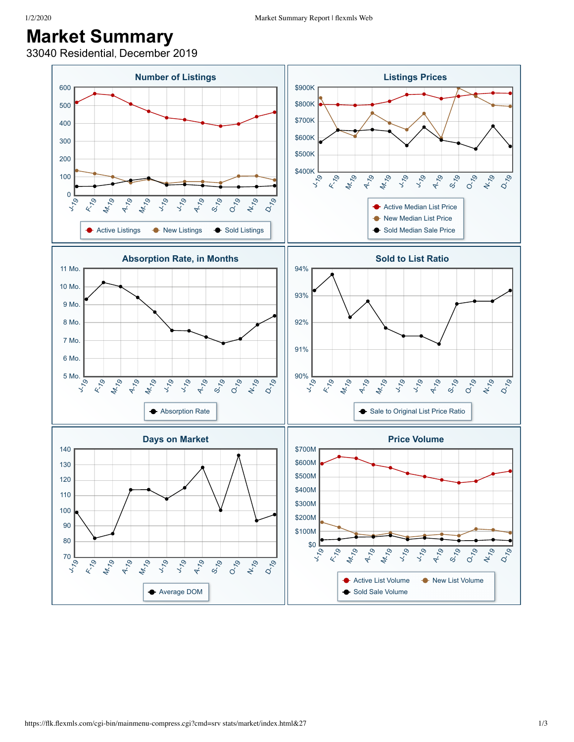## **Market Summary**

33040 Residential, December 2019

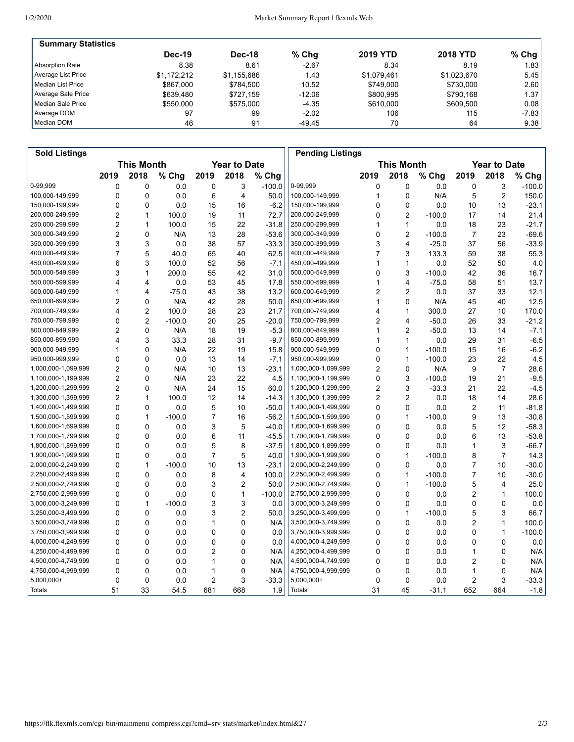| <b>Summary Statistics</b> |               |             |          |                 |                 |         |
|---------------------------|---------------|-------------|----------|-----------------|-----------------|---------|
|                           | <b>Dec-19</b> | Dec-18      | $%$ Chg  | <b>2019 YTD</b> | <b>2018 YTD</b> | $%$ Chg |
| Absorption Rate           | 8.38          | 8.61        | $-2.67$  | 8.34            | 8.19            | 1.83    |
| Average List Price        | \$1.172.212   | \$1,155,686 | 1.43     | \$1.079.461     | \$1,023,670     | 5.45    |
| l Median List Price       | \$867,000     | \$784.500   | 10.52    | \$749.000       | \$730.000       | 2.60    |
| Average Sale Price        | \$639.480     | \$727.159   | $-12.06$ | \$800.995       | \$790.168       | 1.37 I  |
| Median Sale Price         | \$550,000     | \$575.000   | $-4.35$  | \$610,000       | \$609.500       | 0.08    |
| Average DOM               | 97            | 99          | $-2.02$  | 106             | 115             | $-7.83$ |
| Median DOM                | 46            | 91          | -49.45   | 70              | 64              | 9.38    |

| <b>Sold Listings</b> |                                          |                         |          |                   |                |          | <b>Pending Listings</b> |                     |                |          |                |                |          |
|----------------------|------------------------------------------|-------------------------|----------|-------------------|----------------|----------|-------------------------|---------------------|----------------|----------|----------------|----------------|----------|
|                      | <b>This Month</b><br><b>Year to Date</b> |                         |          | <b>This Month</b> |                |          |                         | <b>Year to Date</b> |                |          |                |                |          |
|                      | 2019                                     | 2018                    | % Chg    | 2019              | 2018           | % Chg    |                         | 2019                | 2018           | % Chg    | 2019           | 2018           | % Chg    |
| 0-99,999             | 0                                        | 0                       | 0.0      | 0                 | 3              | $-100.0$ | 0-99,999                | 0                   | 0              | 0.0      | 0              | 3              | $-100.0$ |
| 100,000-149,999      | 0                                        | 0                       | 0.0      | 6                 | 4              | 50.0     | 100,000-149,999         | 1                   | $\mathbf 0$    | N/A      | 5              | $\overline{2}$ | 150.0    |
| 150,000-199,999      | 0                                        | 0                       | 0.0      | 15                | 16             | $-6.2$   | 150,000-199,999         | 0                   | $\mathbf 0$    | 0.0      | 10             | 13             | $-23.1$  |
| 200,000-249,999      | $\overline{2}$                           | 1                       | 100.0    | 19                | 11             | 72.7     | 200,000-249,999         | 0                   | $\overline{2}$ | $-100.0$ | 17             | 14             | 21.4     |
| 250,000-299,999      | $\overline{2}$                           | $\mathbf{1}$            | 100.0    | 15                | 22             | $-31.8$  | 250,000-299,999         | 1                   | $\mathbf{1}$   | 0.0      | 18             | 23             | $-21.7$  |
| 300,000-349,999      | $\overline{2}$                           | 0                       | N/A      | 13                | 28             | $-53.6$  | 300,000-349,999         | 0                   | $\overline{2}$ | $-100.0$ | 7              | 23             | $-69.6$  |
| 350,000-399,999      | 3                                        | 3                       | 0.0      | 38                | 57             | $-33.3$  | 350,000-399,999         | 3                   | 4              | $-25.0$  | 37             | 56             | $-33.9$  |
| 400,000-449,999      | 7                                        | 5                       | 40.0     | 65                | 40             | 62.5     | 400,000-449,999         | 7                   | 3              | 133.3    | 59             | 38             | 55.3     |
| 450,000-499,999      | 6                                        | 3                       | 100.0    | 52                | 56             | $-7.1$   | 450,000-499,999         | 1                   | $\mathbf{1}$   | 0.0      | 52             | 50             | 4.0      |
| 500,000-549,999      | 3                                        | $\mathbf{1}$            | 200.0    | 55                | 42             | 31.0     | 500,000-549,999         | 0                   | 3              | $-100.0$ | 42             | 36             | 16.7     |
| 550,000-599,999      | 4                                        | 4                       | 0.0      | 53                | 45             | 17.8     | 550,000-599,999         | 1                   | 4              | $-75.0$  | 58             | 51             | 13.7     |
| 600,000-649,999      | 1                                        | $\overline{\mathbf{4}}$ | $-75.0$  | 43                | 38             | 13.2     | 600,000-649,999         | 2                   | $\overline{2}$ | 0.0      | 37             | 33             | 12.1     |
| 650,000-699,999      | $\overline{2}$                           | $\Omega$                | N/A      | 42                | 28             | 50.0     | 650,000-699,999         | 1                   | $\Omega$       | N/A      | 45             | 40             | 12.5     |
| 700,000-749,999      | $\overline{\mathbf{4}}$                  | $\overline{2}$          | 100.0    | 28                | 23             | 21.7     | 700,000-749,999         | 4                   | $\mathbf{1}$   | 300.0    | 27             | 10             | 170.0    |
| 750,000-799,999      | 0                                        | $\overline{2}$          | $-100.0$ | 20                | 25             | $-20.0$  | 750,000-799,999         | 2                   | 4              | $-50.0$  | 26             | 33             | $-21.2$  |
| 800,000-849,999      | 2                                        | 0                       | N/A      | 18                | 19             | $-5.3$   | 800,000-849,999         | 1                   | $\overline{2}$ | $-50.0$  | 13             | 14             | $-7.1$   |
| 850,000-899,999      | $\overline{\mathbf{4}}$                  | 3                       | 33.3     | 28                | 31             | $-9.7$   | 850,000-899,999         | 1                   | $\mathbf{1}$   | 0.0      | 29             | 31             | $-6.5$   |
| 900,000-949,999      | 1                                        | $\Omega$                | N/A      | 22                | 19             | 15.8     | 900,000-949,999         | 0                   | $\mathbf{1}$   | $-100.0$ | 15             | 16             | $-6.2$   |
| 950,000-999,999      | $\mathbf 0$                              | 0                       | 0.0      | 13                | 14             | $-7.1$   | 950,000-999,999         | 0                   | $\mathbf{1}$   | $-100.0$ | 23             | 22             | 4.5      |
| 1,000,000-1,099,999  | $\overline{2}$                           | $\mathbf 0$             | N/A      | 10                | 13             | $-23.1$  | 1,000,000-1,099,999     | 2                   | $\mathbf 0$    | N/A      | 9              | $\overline{7}$ | 28.6     |
| 1,100,000-1,199,999  | $\overline{2}$                           | $\mathbf 0$             | N/A      | 23                | 22             | 4.5      | 1,100,000-1,199,999     | 0                   | 3              | $-100.0$ | 19             | 21             | $-9.5$   |
| 1,200,000-1,299,999  | $\overline{2}$                           | $\Omega$                | N/A      | 24                | 15             | 60.0     | 1,200,000-1,299,999     | $\overline{2}$      | 3              | $-33.3$  | 21             | 22             | $-4.5$   |
| 1,300,000-1,399,999  | $\overline{2}$                           | $\mathbf{1}$            | 100.0    | 12                | 14             | $-14.3$  | 1,300,000-1,399,999     | 2                   | $\overline{2}$ | 0.0      | 18             | 14             | 28.6     |
| 1,400,000-1,499,999  | 0                                        | 0                       | 0.0      | 5                 | 10             | $-50.0$  | 1,400,000-1,499,999     | 0                   | $\mathbf 0$    | 0.0      | 2              | 11             | $-81.8$  |
| 1,500,000-1,599,999  | 0                                        | $\mathbf{1}$            | $-100.0$ | 7                 | 16             | $-56.2$  | 1,500,000-1,599,999     | 0                   | $\mathbf{1}$   | $-100.0$ | 9              | 13             | $-30.8$  |
| 1,600,000-1,699,999  | 0                                        | $\mathbf 0$             | 0.0      | 3                 | 5              | $-40.0$  | 1,600,000-1,699,999     | 0                   | $\mathbf 0$    | 0.0      | 5              | 12             | $-58.3$  |
| 1,700,000-1,799,999  | 0                                        | $\mathbf 0$             | 0.0      | 6                 | 11             | $-45.5$  | 1,700,000-1,799,999     | 0                   | $\mathbf 0$    | 0.0      | 6              | 13             | $-53.8$  |
| 1,800,000-1,899,999  | 0                                        | 0                       | 0.0      | 5                 | 8              | $-37.5$  | 1,800,000-1,899,999     | 0                   | 0              | 0.0      | 1              | 3              | $-66.7$  |
| 1,900,000-1,999,999  | 0                                        | 0                       | 0.0      | $\overline{7}$    | 5              | 40.0     | 1,900,000-1,999,999     | 0                   | $\mathbf{1}$   | $-100.0$ | 8              | $\overline{7}$ | 14.3     |
| 2,000,000-2,249,999  | 0                                        | $\mathbf{1}$            | $-100.0$ | 10                | 13             | $-23.1$  | 2,000,000-2,249,999     | 0                   | $\mathbf 0$    | 0.0      | 7              | 10             | $-30.0$  |
| 2,250,000-2,499,999  | 0                                        | $\mathbf 0$             | 0.0      | 8                 | 4              | 100.0    | 2,250,000-2,499,999     | 0                   | $\mathbf{1}$   | $-100.0$ | 7              | 10             | $-30.0$  |
| 2,500,000-2,749,999  | 0                                        | $\mathbf 0$             | 0.0      | 3                 | $\overline{2}$ | 50.0     | 2,500,000-2,749,999     | 0                   | $\mathbf{1}$   | $-100.0$ | 5              | 4              | 25.0     |
| 2,750,000-2,999,999  | 0                                        | 0                       | 0.0      | 0                 | 1              | $-100.0$ | 2,750,000-2,999,999     | 0                   | $\mathbf 0$    | 0.0      | 2              | 1              | 100.0    |
| 3,000,000-3,249,999  | $\mathbf 0$                              | $\mathbf{1}$            | $-100.0$ | 3                 | 3              | 0.0      | 3,000,000-3,249,999     | 0                   | $\mathbf 0$    | 0.0      | 0              | 0              | 0.0      |
| 3,250,000-3,499,999  | 0                                        | $\mathbf 0$             | 0.0      | 3                 | $\overline{2}$ | 50.0     | 3,250,000-3,499,999     | 0                   | $\mathbf{1}$   | $-100.0$ | 5              | 3              | 66.7     |
| 3,500,000-3,749,999  | 0                                        | $\mathbf 0$             | 0.0      | 1                 | 0              | N/A      | 3,500,000-3,749,999     | 0                   | $\mathbf 0$    | 0.0      | 2              | 1              | 100.0    |
| 3,750,000-3,999,999  | 0                                        | 0                       | 0.0      | 0                 | 0              | 0.0      | 3,750,000-3,999,999     | 0                   | $\mathbf 0$    | 0.0      | 0              | $\mathbf{1}$   | $-100.0$ |
| 4,000,000-4,249,999  | 0                                        | 0                       | 0.0      | 0                 | $\mathbf 0$    | 0.0      | 4,000,000-4,249,999     | 0                   | 0              | 0.0      | 0              | 0              | 0.0      |
| 4,250,000-4,499,999  | $\mathbf 0$                              | $\mathbf 0$             | 0.0      | $\overline{2}$    | 0              | N/A      | 4,250,000-4,499,999     | 0                   | $\mathbf 0$    | 0.0      | 1              | 0              | N/A      |
| 4,500,000-4,749,999  | 0                                        | $\mathbf 0$             | 0.0      | 1                 | 0              | N/A      | 4,500,000-4,749,999     | 0                   | $\mathbf 0$    | 0.0      | $\overline{c}$ | 0              | N/A      |
| 4,750,000-4,999,999  | 0                                        | 0                       | 0.0      | 1                 | 0              | N/A      | 4,750,000-4,999,999     | 0                   | 0              | 0.0      | 1              | 0              | N/A      |
| $5,000,000+$         | 0                                        | 0                       | 0.0      | 2                 | 3              | $-33.3$  | 5,000,000+              | 0                   | 0              | 0.0      | 2              | 3              | $-33.3$  |
| Totals               | 51                                       | 33                      | 54.5     | 681               | 668            | 1.9      | <b>Totals</b>           | 31                  | 45             | $-31.1$  | 652            | 664            | $-1.8$   |